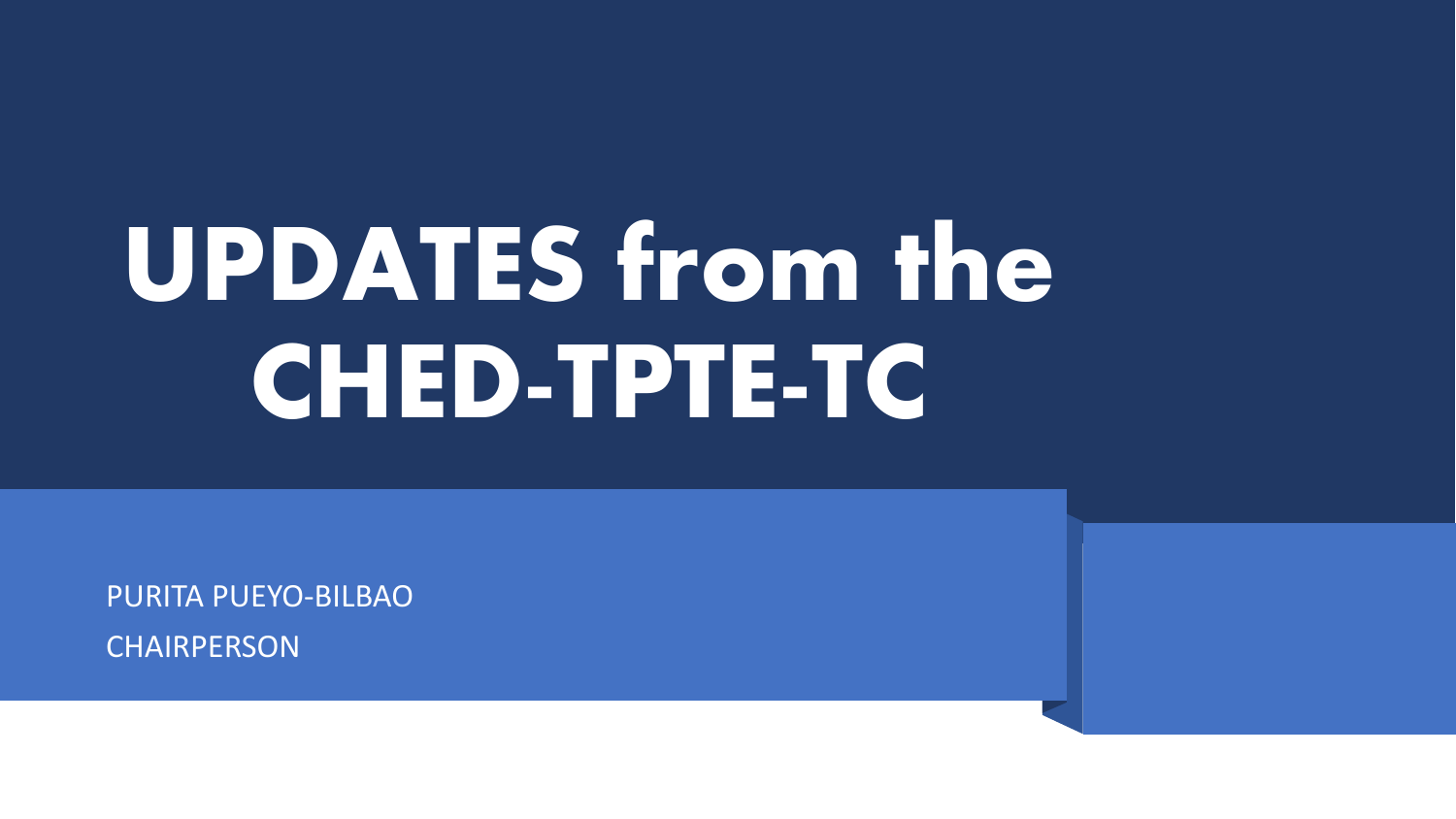# **UPDATES from the CHED-TPTE-TC**

PURITA PUEYO-BILBAO **CHAIRPERSON**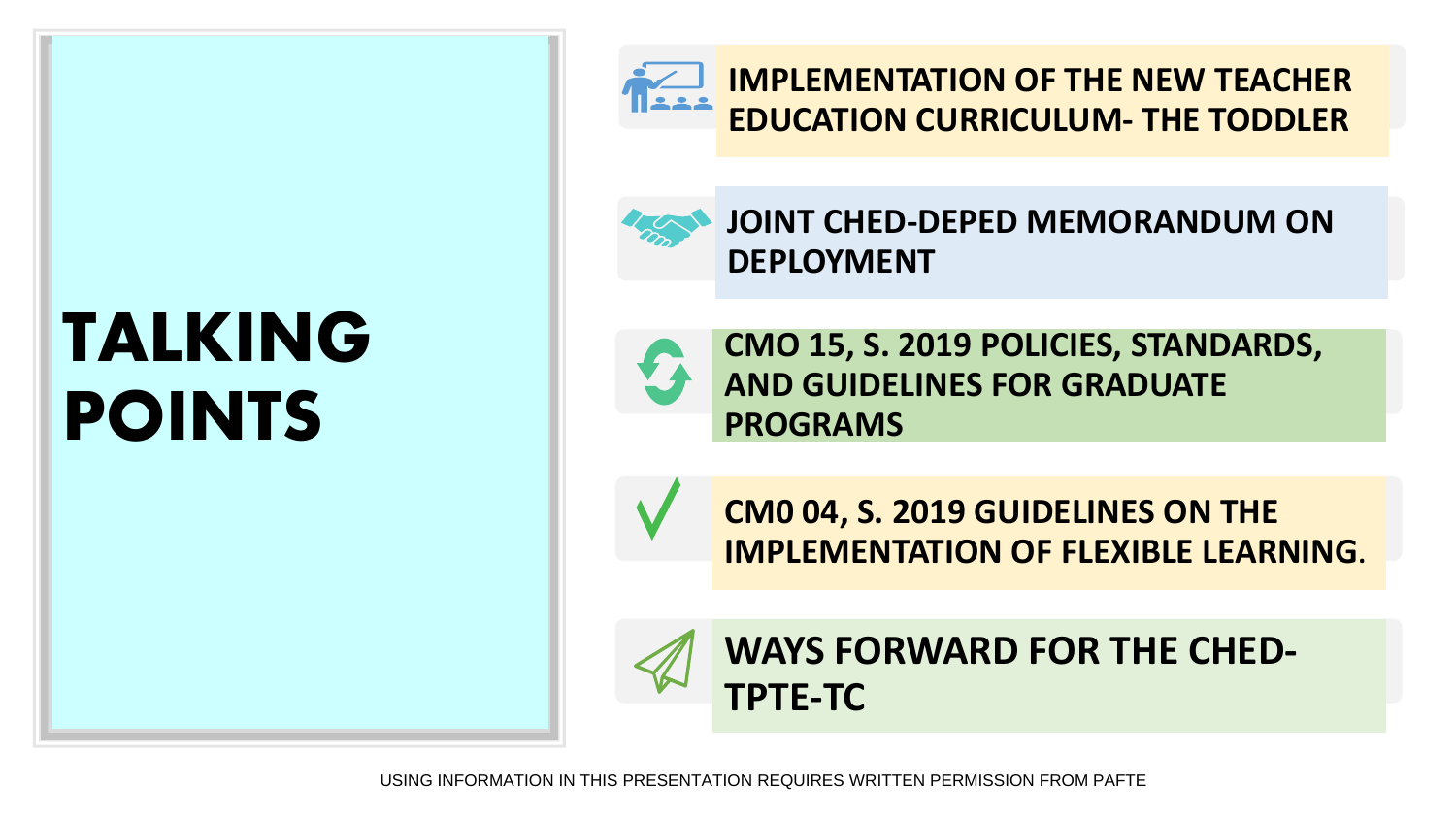## **TALKING POINTS**



**IMPLEMENTATION OF THE NEW TEACHER EDUCATION CURRICULUM- THE TODDLER**

**JOINT CHED-DEPED MEMORANDUM ON DEPLOYMENT** 

**CMO 15, S. 2019 POLICIES, STANDARDS, AND GUIDELINES FOR GRADUATE PROGRAMS**

**CM0 04, S. 2019 GUIDELINES ON THE IMPLEMENTATION OF FLEXIBLE LEARNING.**



**WAYS FORWARD FOR THE CHED-TPTE-TC**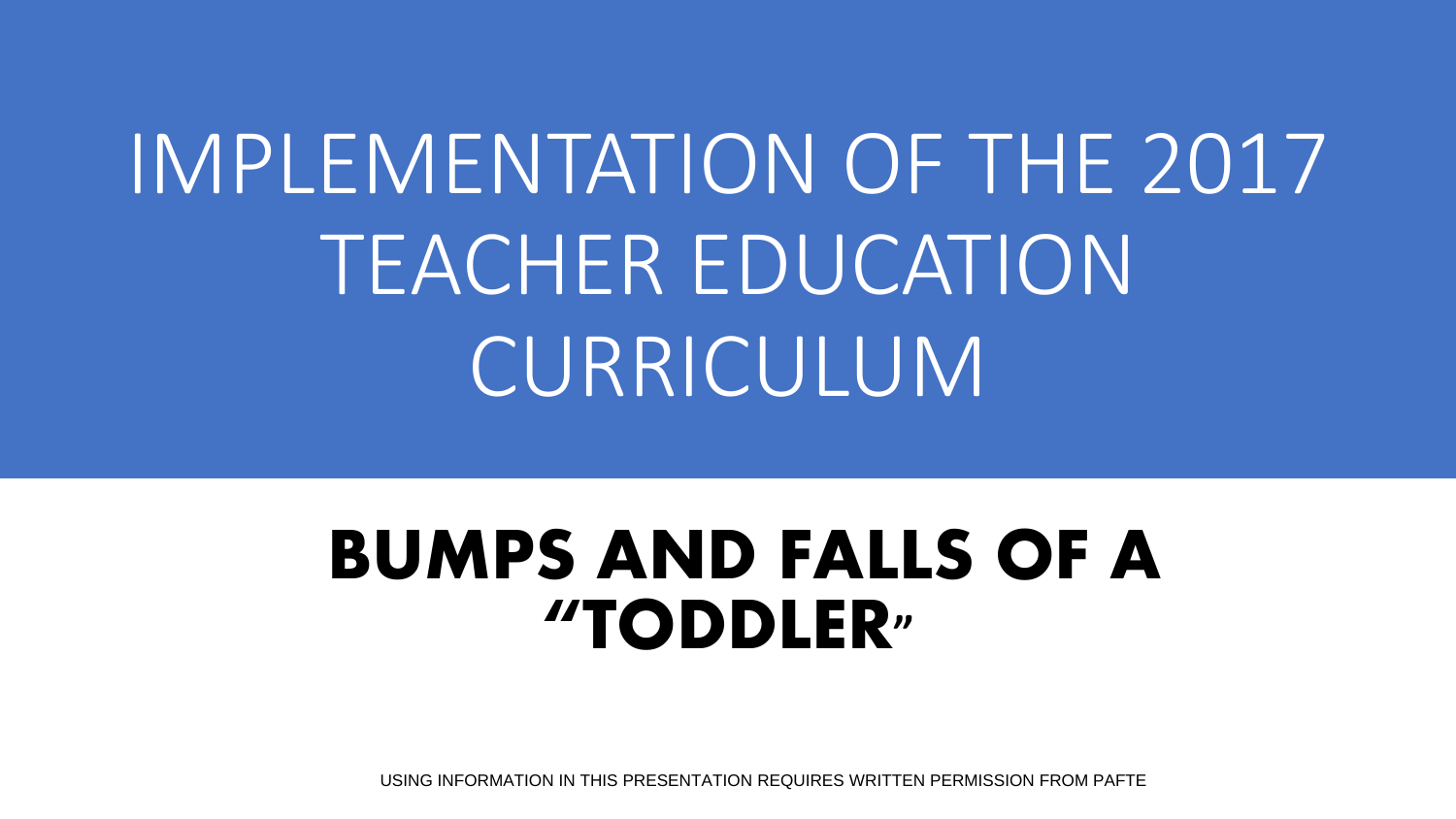## IMPLEMENTATION OF THE 2017 TEACHER EDUCATION CURRICULUM

### **BUMPS AND FALLS OF A "TODDLER"**

USING INFORMATION IN THIS PRESENTATION REQUIRES WRITTEN PERMISSION FROM PAFTE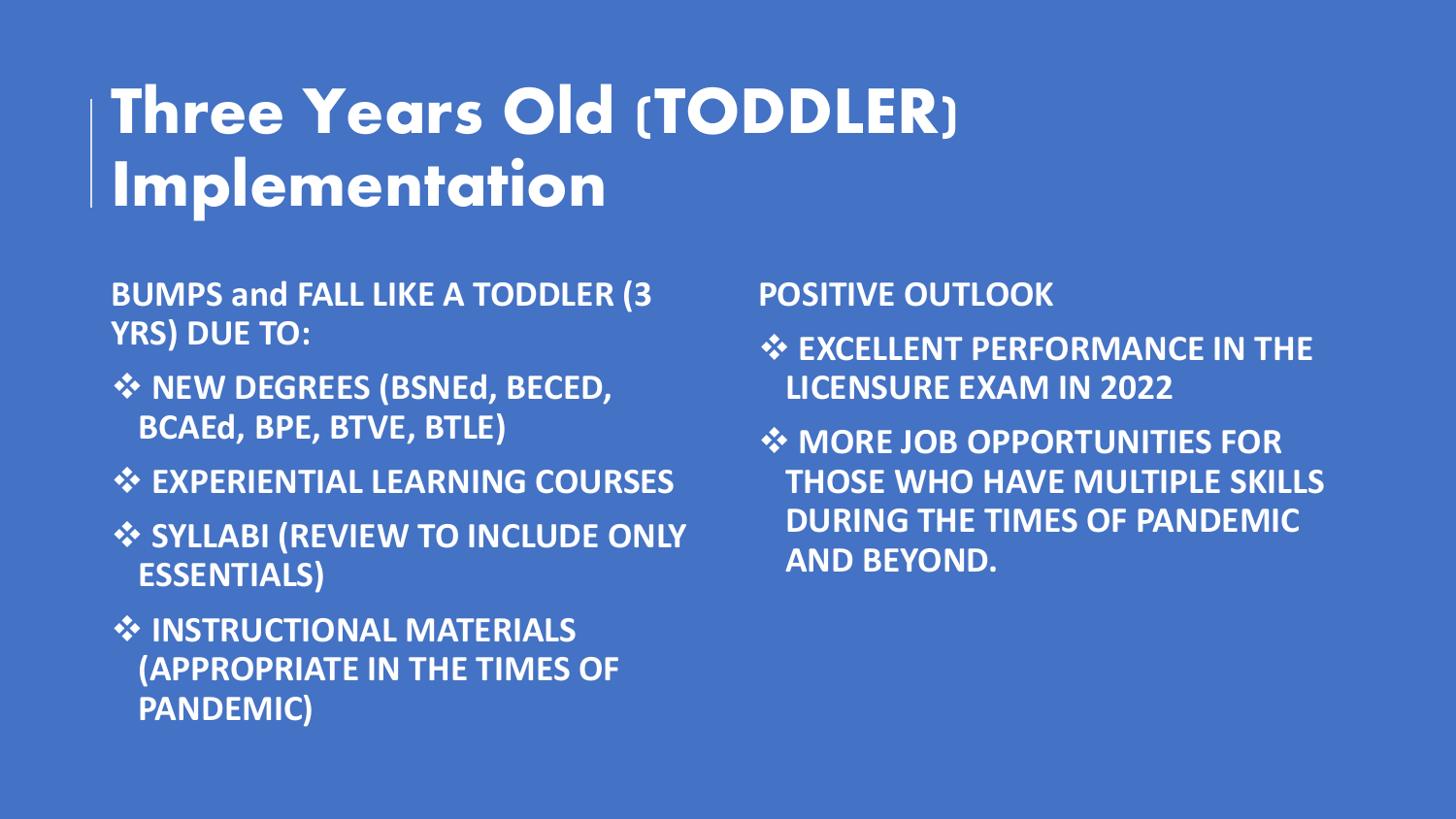### Three Years Old (TODDLER) Implementation

- **BUMPS and FALL LIKE A TODDLER (3 YRS) DUE TO:**
- ❖ **NEW DEGREES (BSNEd, BECED, BCAEd, BPE, BTVE, BTLE)**
- ❖ **EXPERIENTIAL LEARNING COURSES**
- ❖ **SYLLABI (REVIEW TO INCLUDE ONLY ESSENTIALS)**
- ❖ **INSTRUCTIONAL MATERIALS (APPROPRIATE IN THE TIMES OF PANDEMIC)**

#### **POSITIVE OUTLOOK**

- ❖ **EXCELLENT PERFORMANCE IN THE LICENSURE EXAM IN 2022**
- ❖ **MORE JOB OPPORTUNITIES FOR THOSE WHO HAVE MULTIPLE SKILLS DURING THE TIMES OF PANDEMIC AND BEYOND.**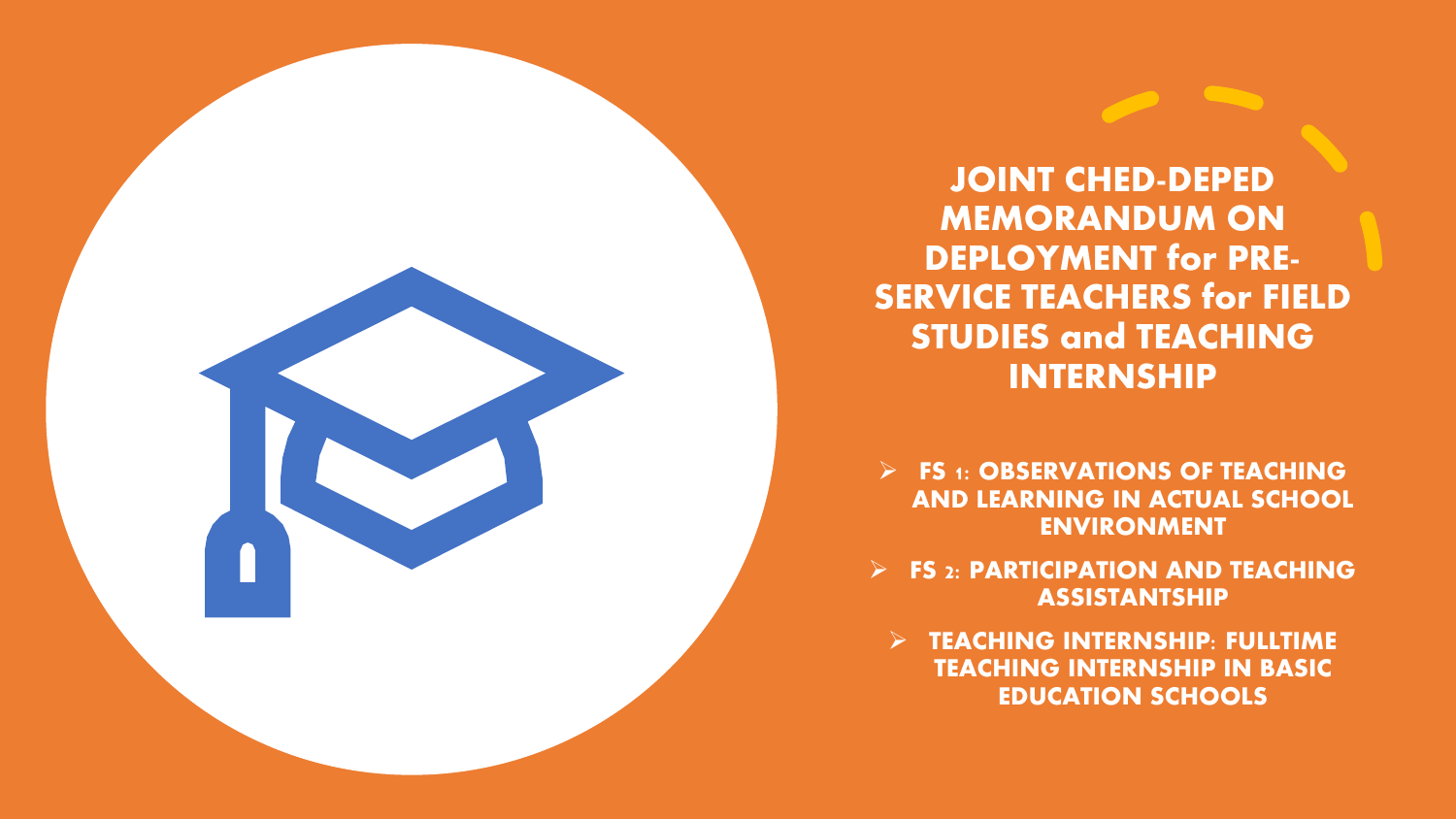**JOINT CHED-DEPED MEMORANDUM ON DEPLOYMENT for PRE-SERVICE TEACHERS for FIELD STUDIES and TEACHING INTERNSHIP** 

➢ **FS 1: OBSERVATIONS OF TEACHING AND LEARNING IN ACTUAL SCHOOL ENVIRONMENT**

➢ **FS 2: PARTICIPATION AND TEACHING ASSISTANTSHIP**

➢ **TEACHING INTERNSHIP: FULLTIME TEACHING INTERNSHIP IN BASIC EDUCATION SCHOOLS**

USING INFORMATION IN THIS PRESENTATION REQUIRES WRITTEN PERMISSION FROM PAFTE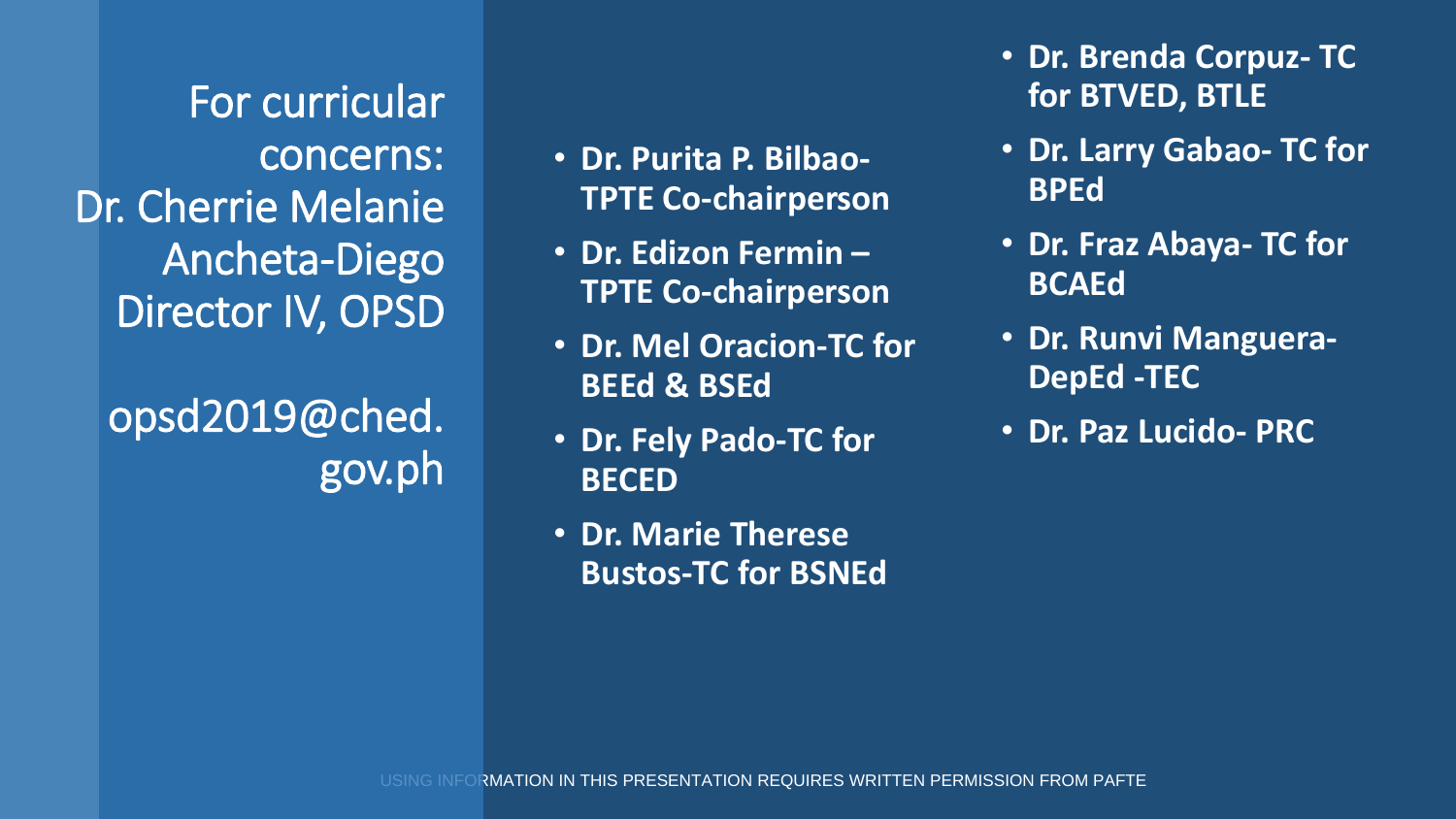For curricular concerns: Dr. Cherrie Melanie Ancheta-Diego Director IV, OPSD

opsd2019@ched. gov.ph

- **Dr. Purita P. Bilbao-TPTE Co-chairperson**
- **Dr. Edizon Fermin – TPTE Co-chairperson**
- **Dr. Mel Oracion-TC for BEEd & BSEd**
- **Dr. Fely Pado-TC for BECED**
- **Dr. Marie Therese Bustos-TC for BSNEd**
- **Dr. Brenda Corpuz- TC for BTVED, BTLE**
- **Dr. Larry Gabao- TC for BPEd**
- **Dr. Fraz Abaya- TC for BCAEd**
- **Dr. Runvi Manguera-DepEd -TEC**
- **Dr. Paz Lucido- PRC**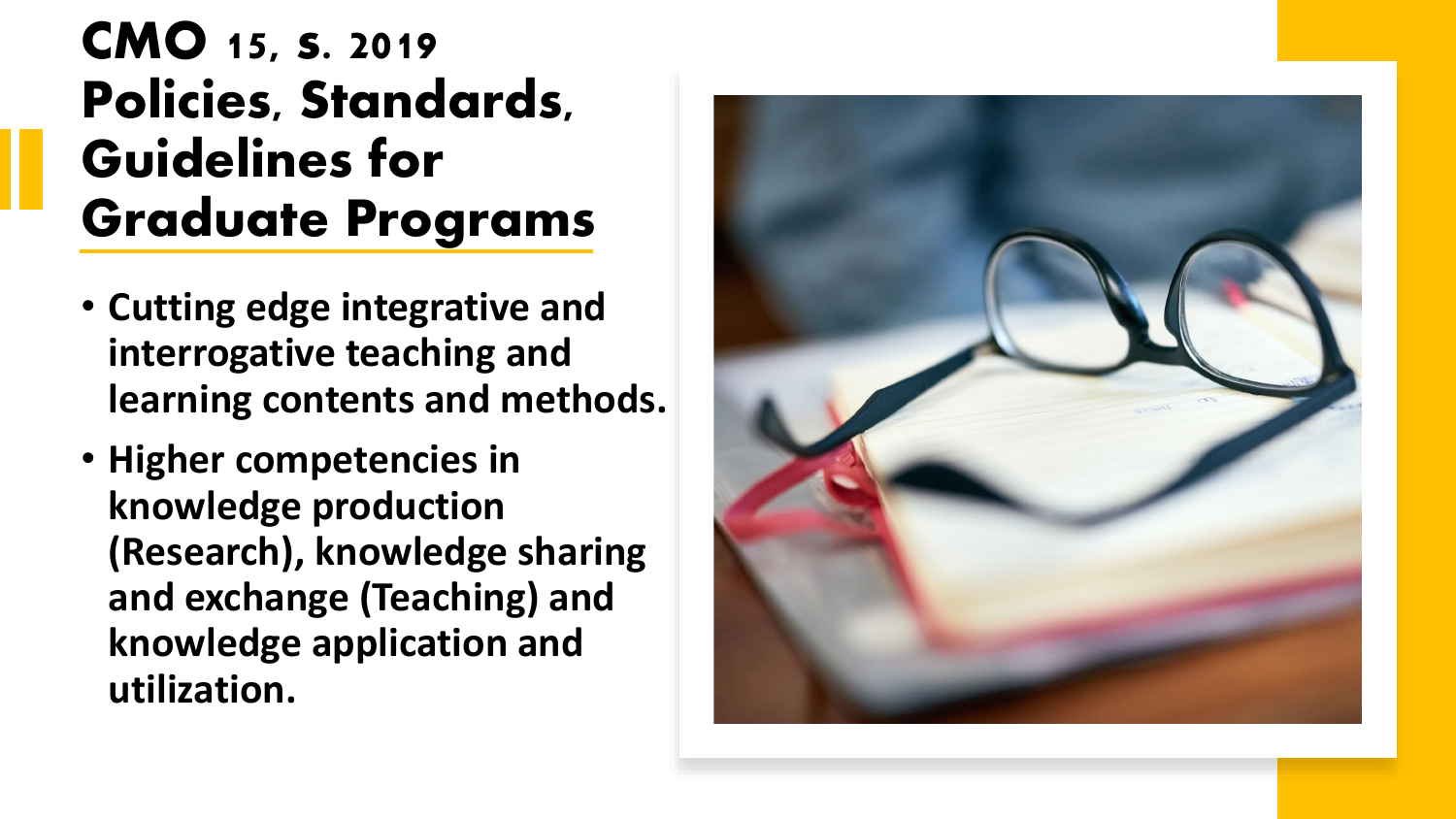### **CMO 15, s. 2019 Policies, Standards, Guidelines for Graduate Programs**

- **Cutting edge integrative and interrogative teaching and learning contents and methods.**
- **Higher competencies in knowledge production (Research), knowledge sharing and exchange (Teaching) and knowledge application and utilization.**

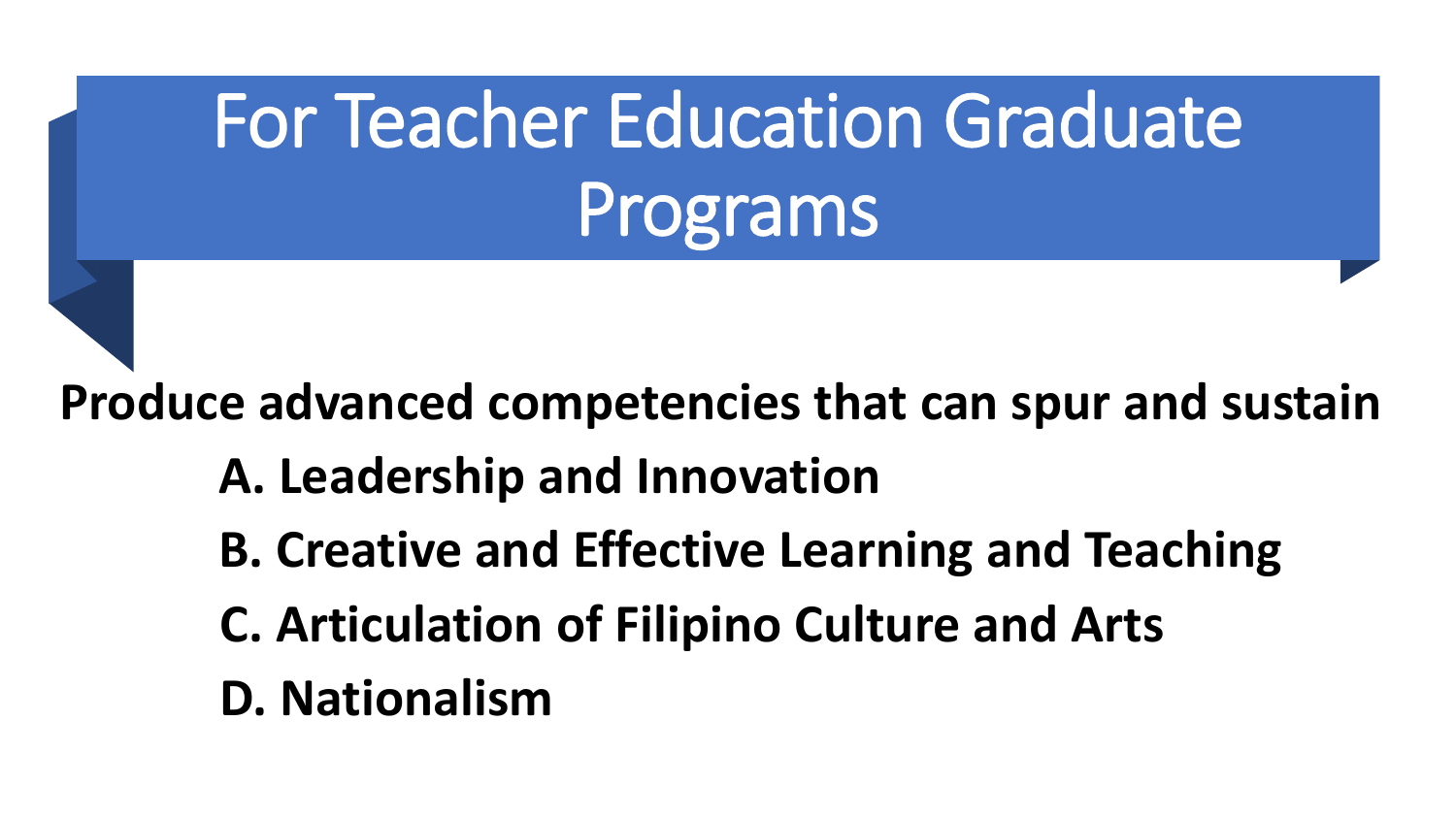## For Teacher Education Graduate Programs

**Produce advanced competencies that can spur and sustain**

- **A. Leadership and Innovation**
- **B. Creative and Effective Learning and Teaching**
- **C. Articulation of Filipino Culture and Arts**
- **D. Nationalism**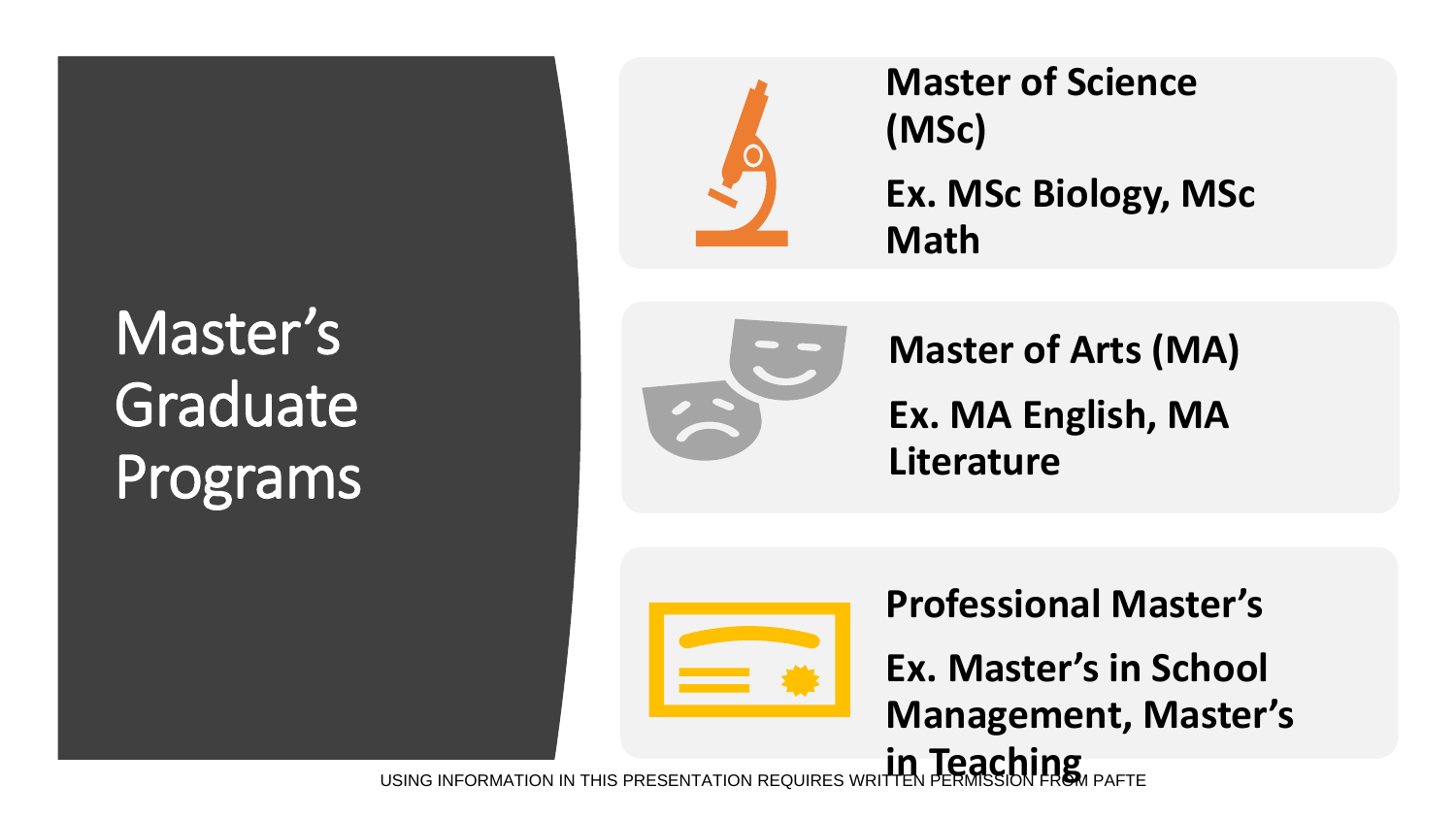### Master's Graduate Programs



**Master of Science (MSc) Ex. MSc Biology, MSc Math**



**Master of Arts (MA) Ex. MA English, MA Literature**



**Professional Master's**

**Ex. Master's in School Management, Master's in Teaching**

USING INFORMATION IN THIS PRESENTATION REQUIRES WR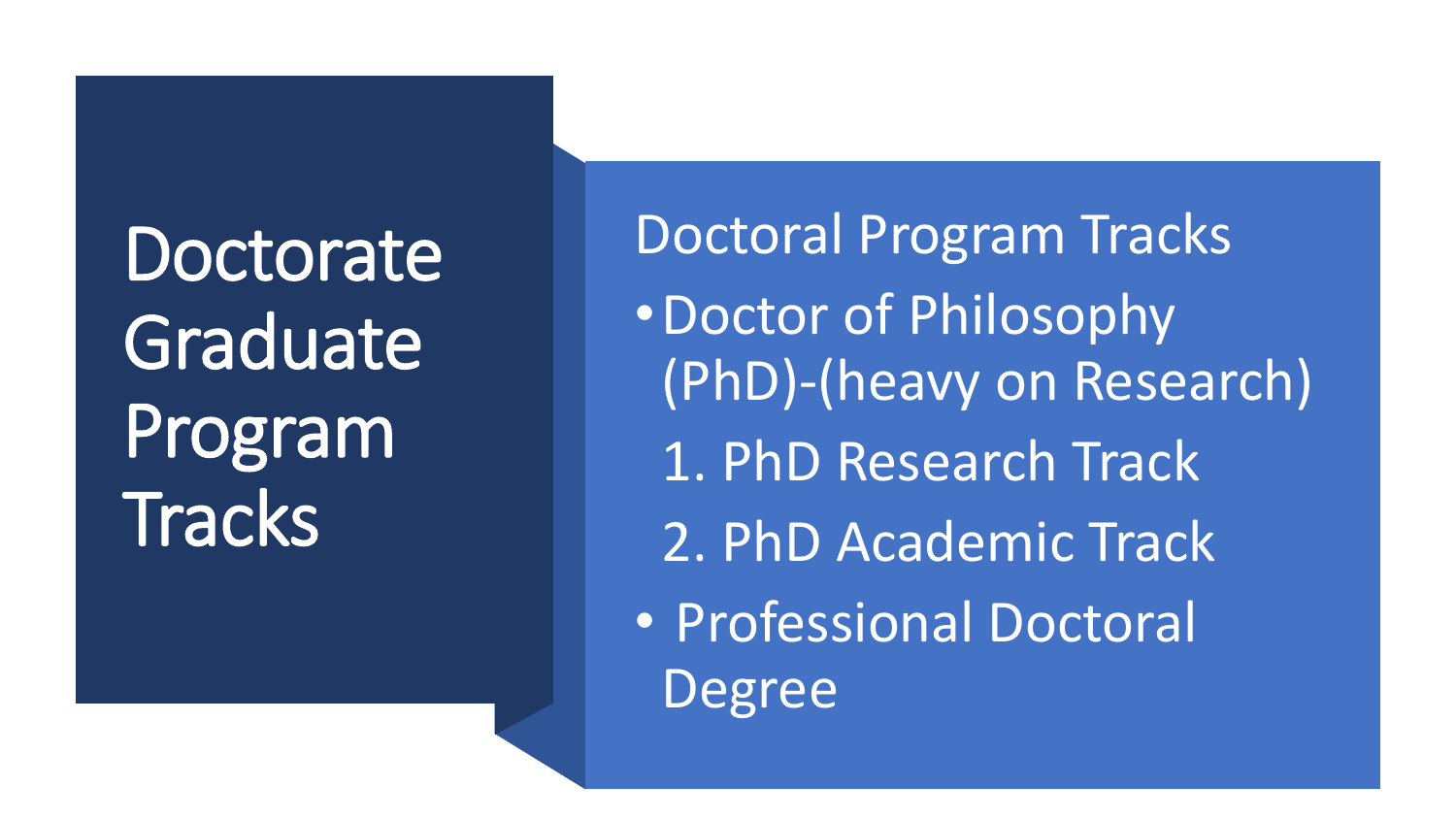**Doctorate** Graduate Program **Tracks** 

Doctoral Program Tracks •Doctor of Philosophy (PhD)-(heavy on Research) 1. PhD Research Track 2. PhD Academic Track • Professional Doctoral Degree

USING INFORMATION IN THIS PRESENTATION IN THIS PRESENTATION IN THE REQUIRES WRITEN PERMISSION REQUIRES WRITEN P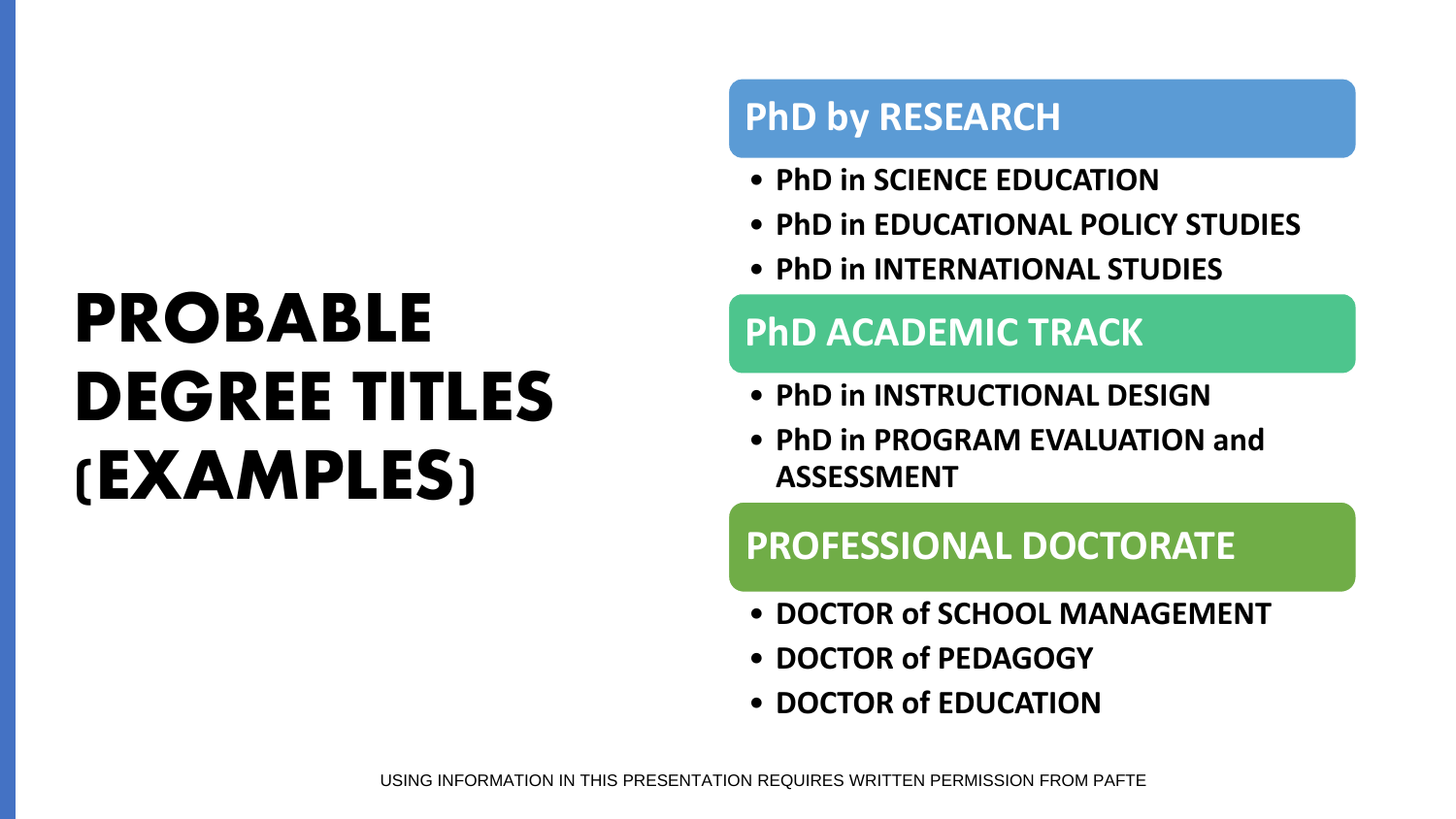## **PROBABLE DEGREE TITLES (EXAMPLES)**

#### **PhD by RESEARCH**

- **PhD in SCIENCE EDUCATION**
- **PhD in EDUCATIONAL POLICY STUDIES**
- **PhD in INTERNATIONAL STUDIES**

#### **PhD ACADEMIC TRACK**

- **PhD in INSTRUCTIONAL DESIGN**
- **PhD in PROGRAM EVALUATION and ASSESSMENT**

#### **PROFESSIONAL DOCTORATE**

- **DOCTOR of SCHOOL MANAGEMENT**
- **DOCTOR of PEDAGOGY**
- **DOCTOR of EDUCATION**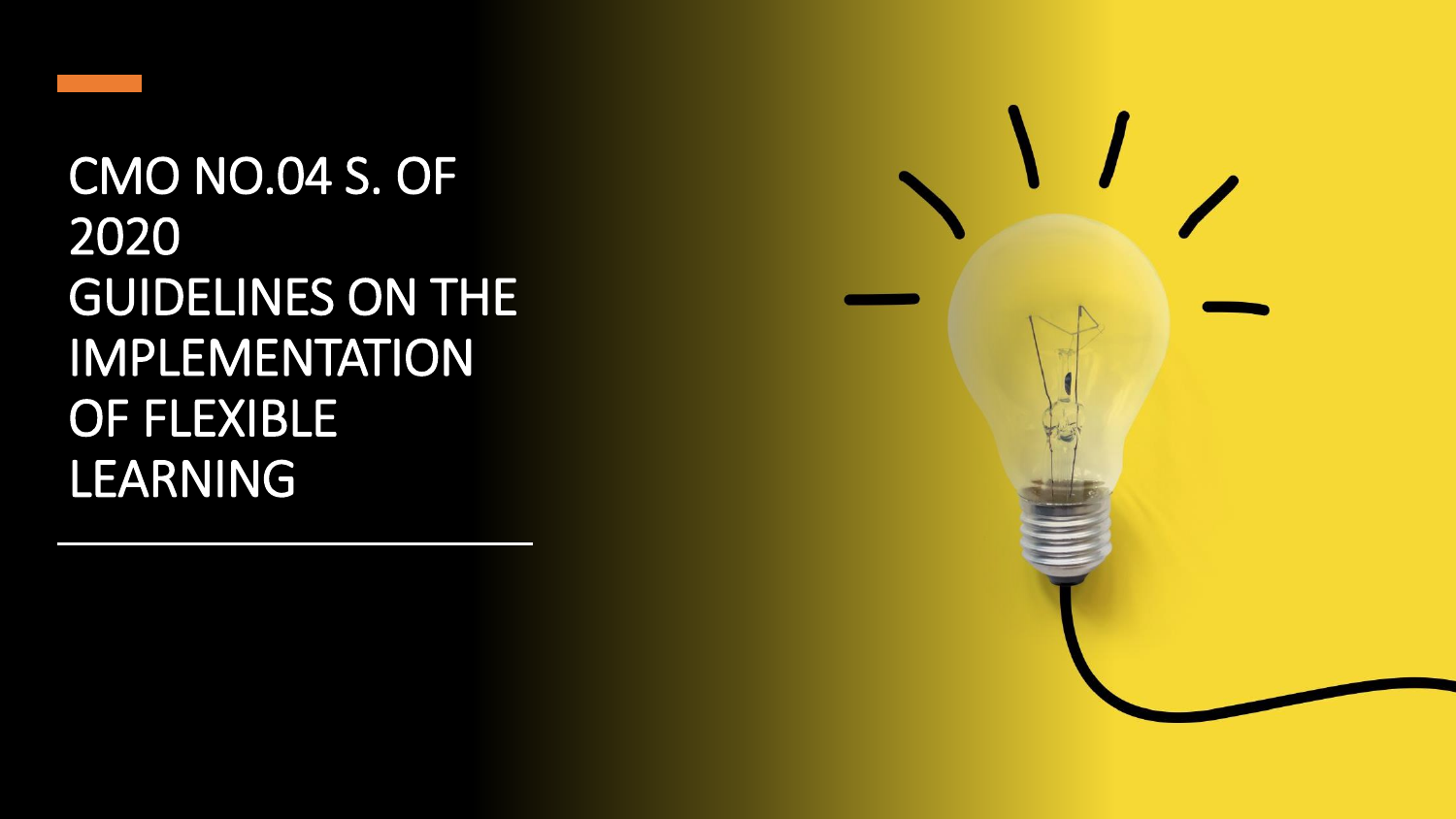

### CMO NO.04 S. OF 2020 GUIDELINES ON THE IMPLEMENTATION OF FLEXIBLE LEARNING

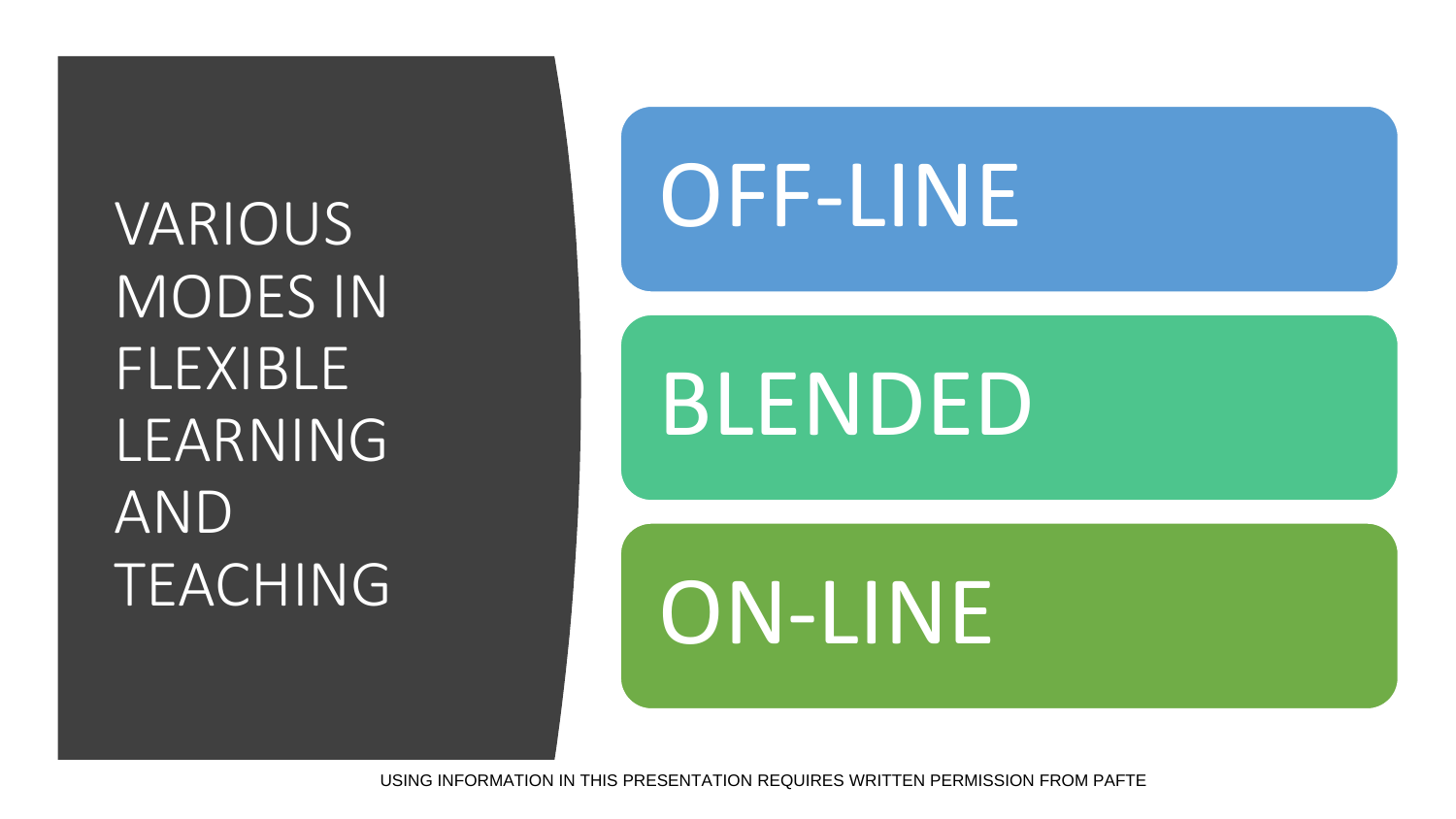VARIOUS MODES IN FLEXIBLE LEARNING AND TEACHING

## OFF-LINE

## BLENDED

ON-LINE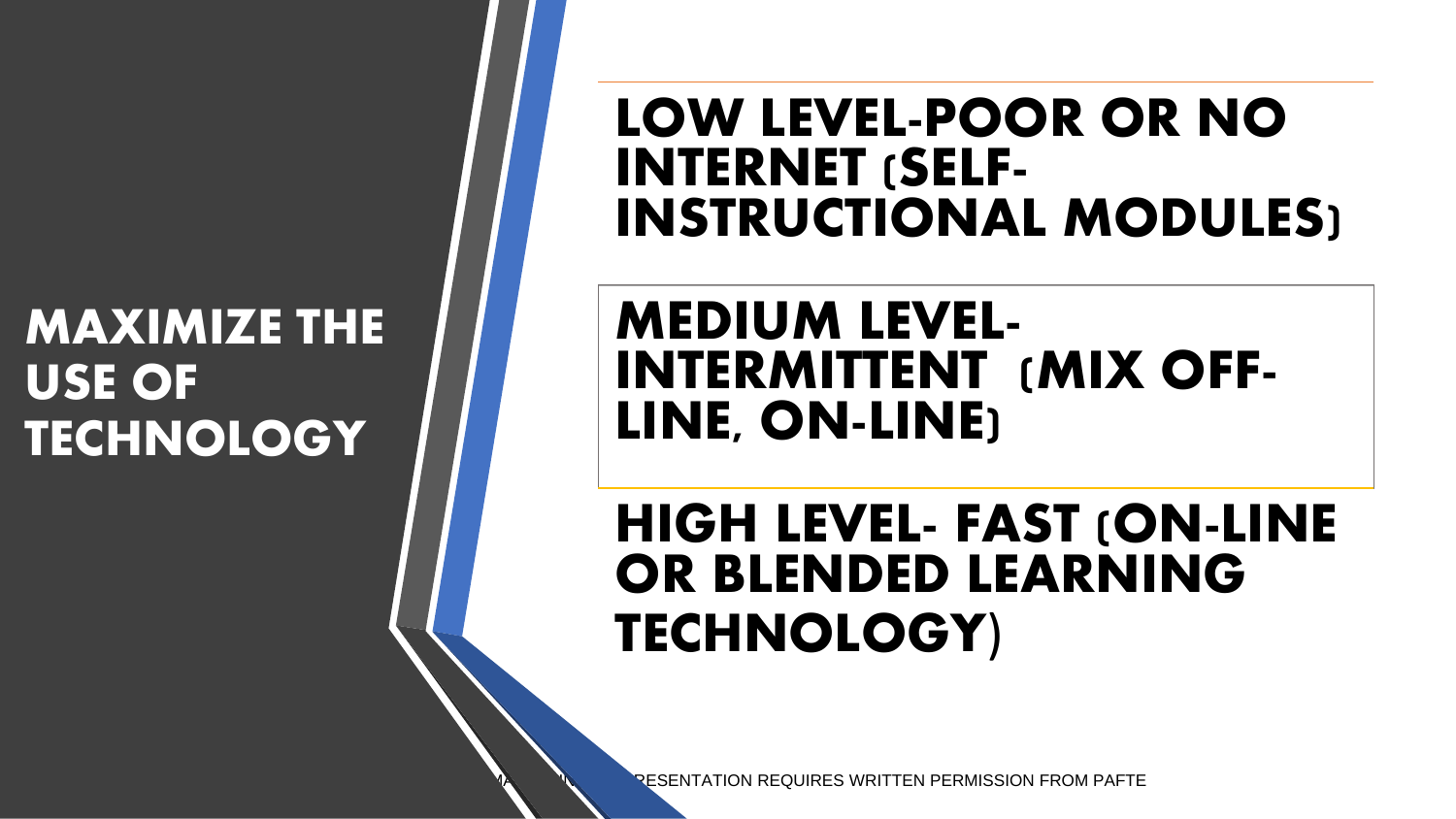#### **MAXIMIZE THE USE OF TECHNOLOGY**

#### LOW LEVEL-POOR OR NO INTERNET (SELF-INSTRUCTIONAL MODULES)

#### **MEDIUM LEVEL-INTERMITTENT (MIX OFF-LINE, ON-LINE)**

### HIGH LEVEL- FAST (ON-LINE OR BLENDED LEARNING TECHNOLOGY)

**RESENTATION REQUIRES WRITTEN PERMISSION FROM PAFTE**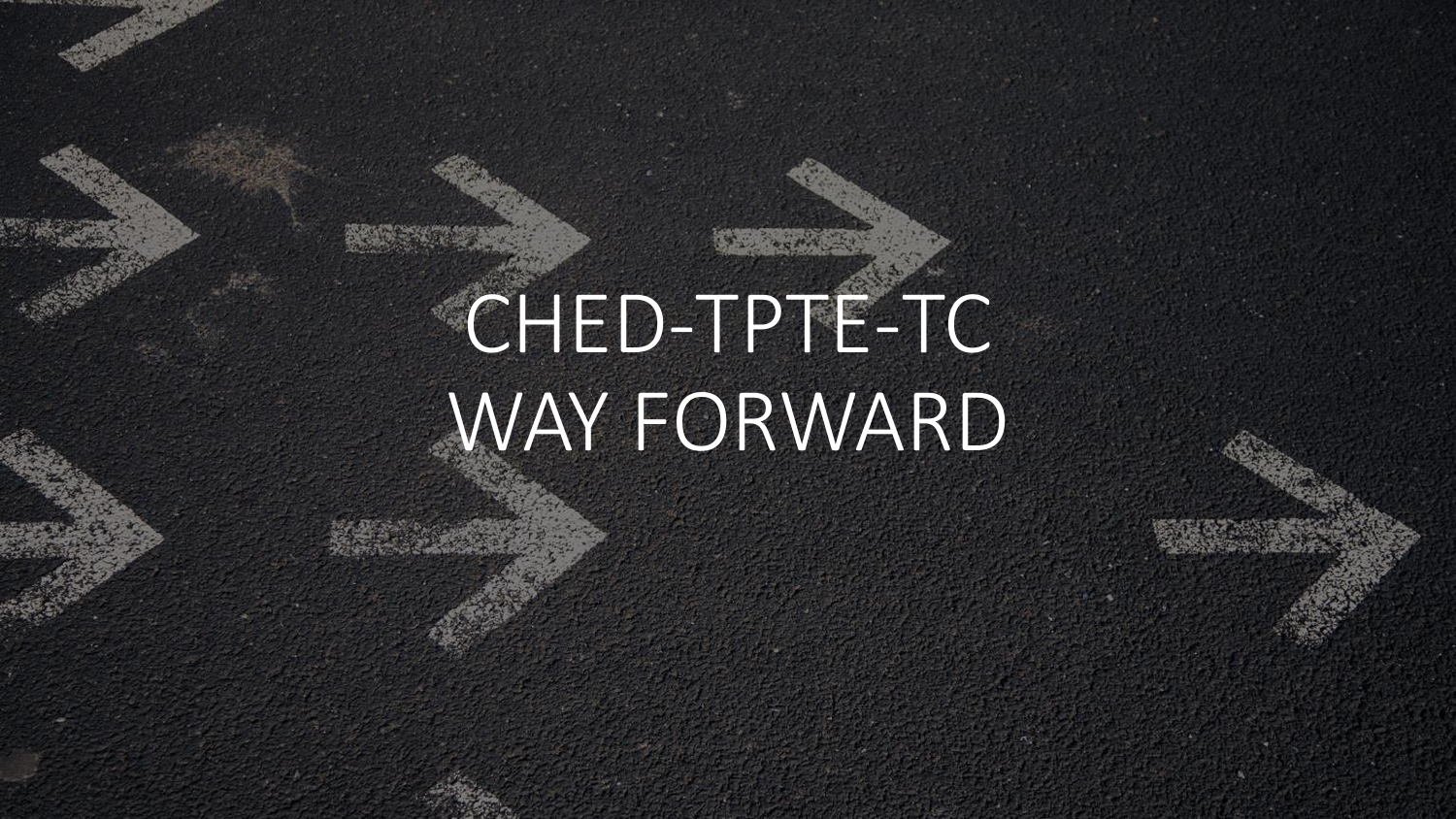## CHED-TPTE-TC WAY FORWARD

USING INFORMATION IN THIS PRESENTATION REQUIRES WRITTEN PERMISSION FROM PAFTE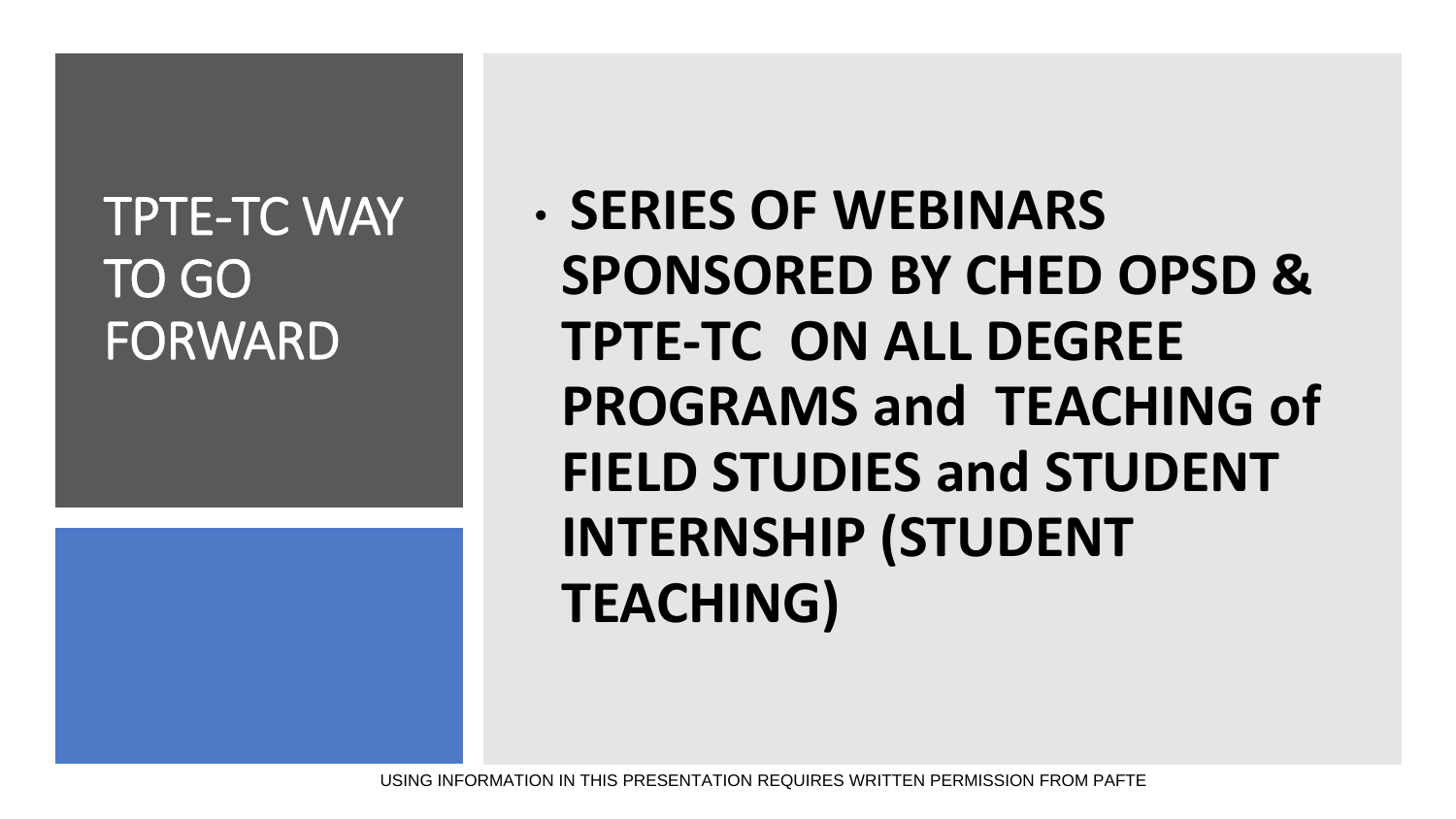### TPTE-TC WAY TO GO FORWARD

• **SERIES OF WEBINARS SPONSORED BY CHED OPSD & TPTE-TC ON ALL DEGREE PROGRAMS and TEACHING of FIELD STUDIES and STUDENT INTERNSHIP (STUDENT TEACHING)**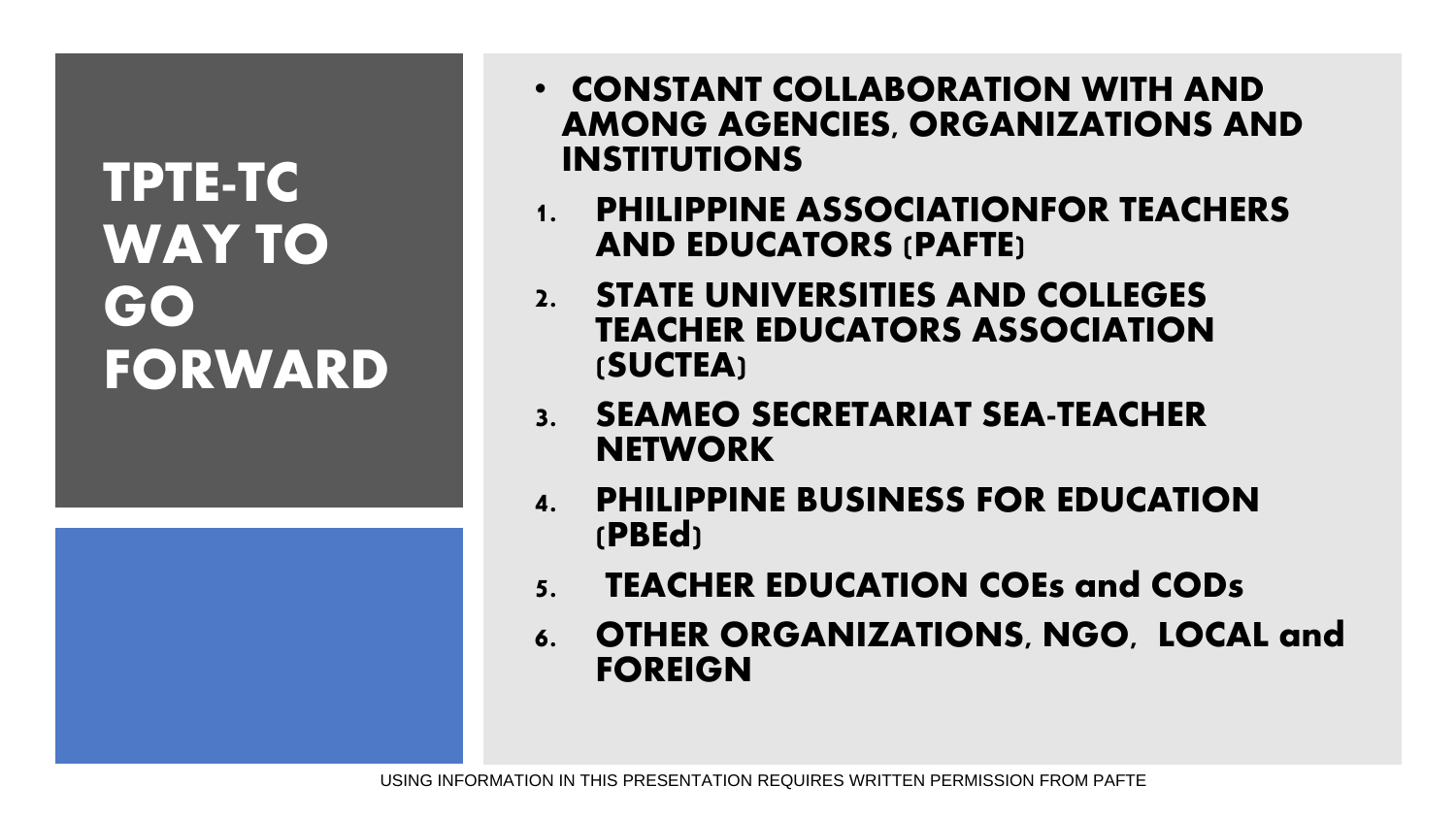### **TPTE-TC WAY TO GO FORWARD**

- CONSTANT COLLABORATION WITH AND AMONG AGENCIES, ORGANIZATIONS AND INSTITUTIONS
- 1. PHILIPPINE ASSOCIATIONFOR TEACHERS AND EDUCATORS (PAFTE)
- 2. STATE UNIVERSITIES AND COLLEGES TEACHER EDUCATORS ASSOCIATION (SUCTEA)
- 3. SEAMEO SECRETARIAT SEA-TEACHER **NETWORK**
- 4. PHILIPPINE BUSINESS FOR EDUCATION (PBEd)
- 5. TEACHER EDUCATION COEs and CODs
- 6. OTHER ORGANIZATIONS, NGO, LOCAL and FOREIGN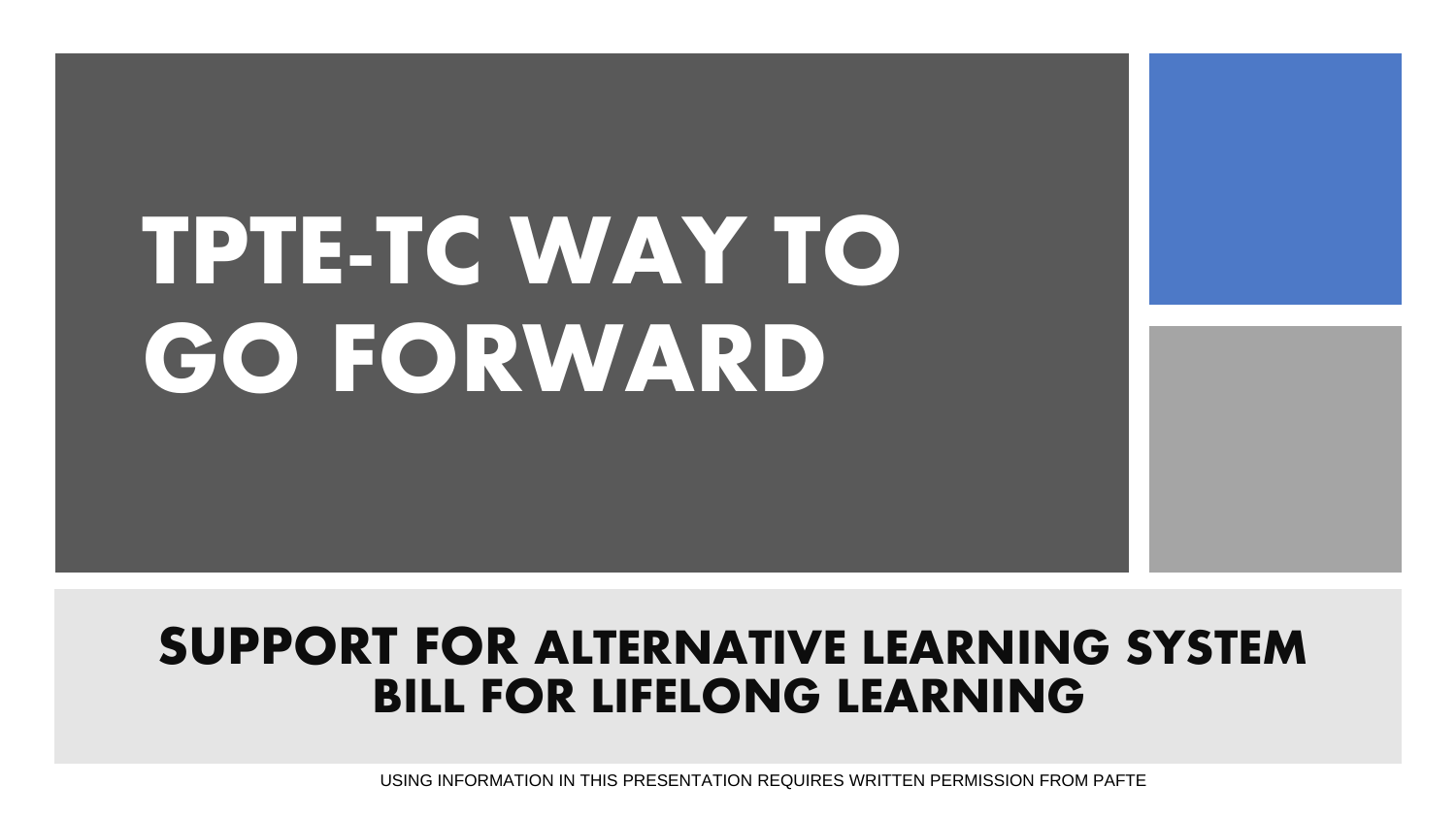# TPTE-TC WAY TO GO FORWARD

#### **SUPPORT FOR ALTERNATIVE LEARNING SYSTEM BILL FOR LIFELONG LEARNING**

USING INFORMATION IN THIS PRESENTATION REQUIRES WRITTEN PERMISSION FROM PAFTE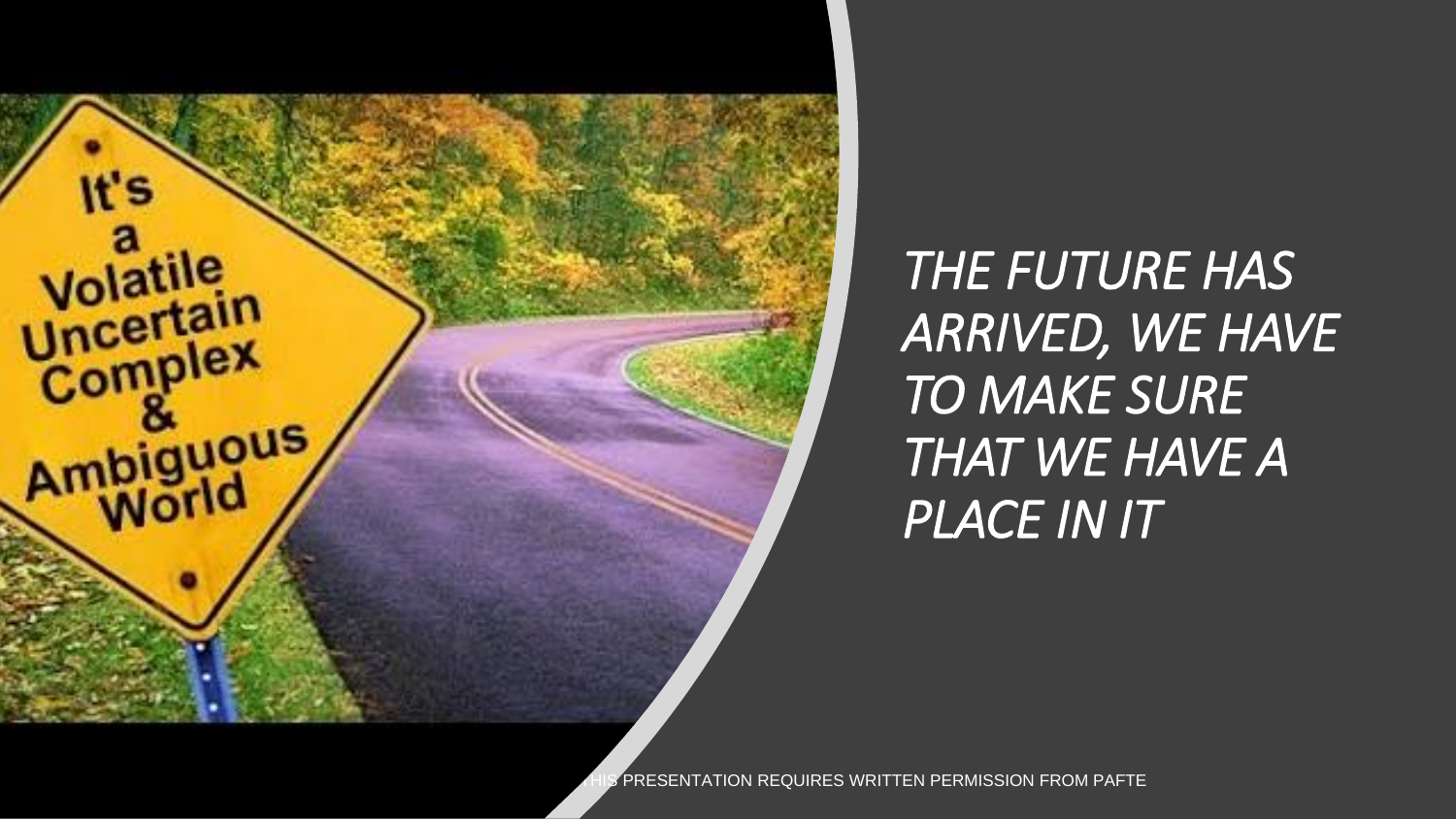

*THE FUTURE HAS ARRIVED, WE HAVE TO MAKE SURE THAT WE HAVE A PLACE IN IT*

**FRESENTATION REQUIRES WRITTEN PERMISSION FROM PAFTE**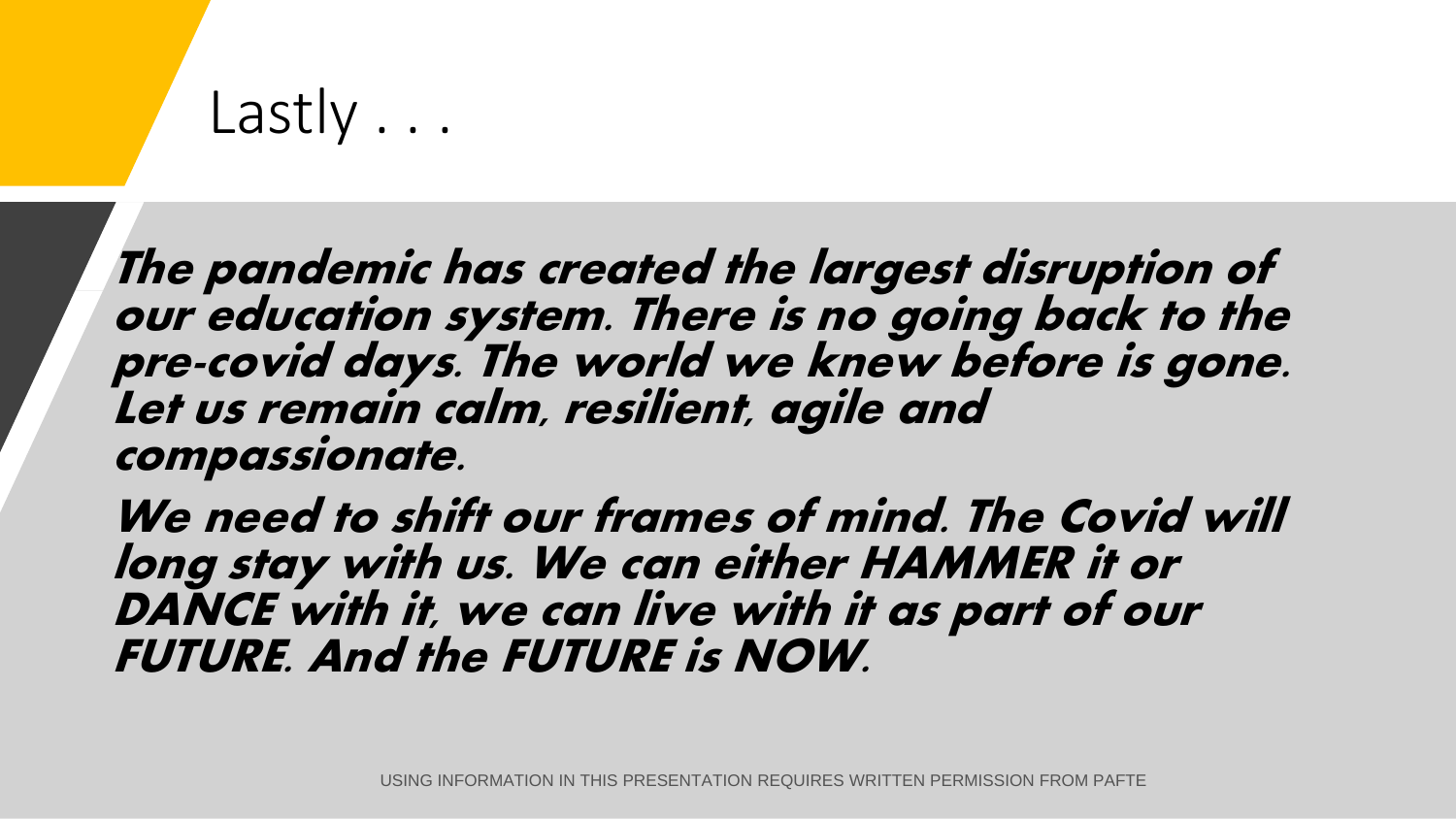### Lastly . . .

**The pandemic has created the largest disruption of our education system. There is no going back to the pre-covid days. The world we knew before is gone. Let us remain calm, resilient, agile and compassionate.** 

**We need to shift our frames of mind. The Covid will long stay with us. We can either HAMMER it or DANCE with it, we can live with it as part of our FUTURE. And the FUTURE is NOW.**